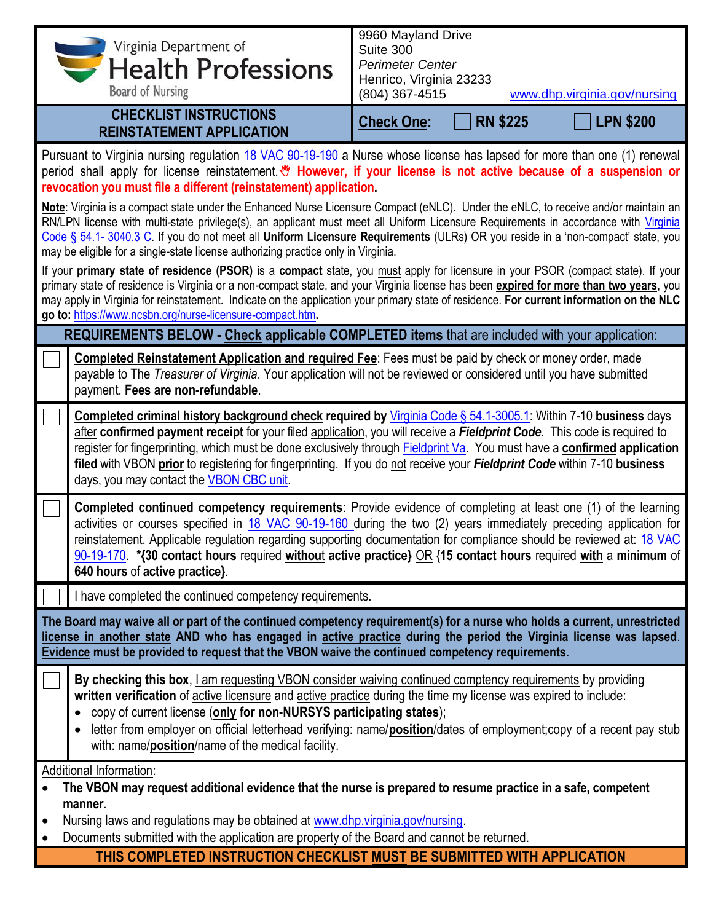| Virginia Department of<br>Health Professions<br><b>Board of Nursing</b>                                                                                                                                                                                                                                                                                                                                                                                                                           | 9960 Mayland Drive<br>Suite 300<br><b>Perimeter Center</b><br>Henrico, Virginia 23233<br>(804) 367-4515<br>www.dhp.virginia.gov/nursing                                                                                                                                                                                                                                                                                                                                                                           |  |  |  |  |
|---------------------------------------------------------------------------------------------------------------------------------------------------------------------------------------------------------------------------------------------------------------------------------------------------------------------------------------------------------------------------------------------------------------------------------------------------------------------------------------------------|-------------------------------------------------------------------------------------------------------------------------------------------------------------------------------------------------------------------------------------------------------------------------------------------------------------------------------------------------------------------------------------------------------------------------------------------------------------------------------------------------------------------|--|--|--|--|
| <b>CHECKLIST INSTRUCTIONS</b><br><b>REINSTATEMENT APPLICATION</b>                                                                                                                                                                                                                                                                                                                                                                                                                                 | <b>RN \$225</b><br><b>LPN \$200</b><br><b>Check One:</b>                                                                                                                                                                                                                                                                                                                                                                                                                                                          |  |  |  |  |
| Pursuant to Virginia nursing regulation 18 VAC 90-19-190 a Nurse whose license has lapsed for more than one (1) renewal<br>period shall apply for license reinstatement. * However, if your license is not active because of a suspension or<br>revocation you must file a different (reinstatement) application.                                                                                                                                                                                 |                                                                                                                                                                                                                                                                                                                                                                                                                                                                                                                   |  |  |  |  |
| Note: Virginia is a compact state under the Enhanced Nurse Licensure Compact (eNLC). Under the eNLC, to receive and/or maintain an<br>RN/LPN license with multi-state privilege(s), an applicant must meet all Uniform Licensure Requirements in accordance with Virginia<br>Code § 54.1- 3040.3 C. If you do not meet all Uniform Licensure Requirements (ULRs) OR you reside in a 'non-compact' state, you<br>may be eligible for a single-state license authorizing practice only in Virginia. |                                                                                                                                                                                                                                                                                                                                                                                                                                                                                                                   |  |  |  |  |
| If your primary state of residence (PSOR) is a compact state, you must apply for licensure in your PSOR (compact state). If your<br>primary state of residence is Virginia or a non-compact state, and your Virginia license has been expired for more than two years, you<br>may apply in Virginia for reinstatement. Indicate on the application your primary state of residence. For current information on the NLC<br>go to: https://www.ncsbn.org/nurse-licensure-compact.htm.               |                                                                                                                                                                                                                                                                                                                                                                                                                                                                                                                   |  |  |  |  |
|                                                                                                                                                                                                                                                                                                                                                                                                                                                                                                   | REQUIREMENTS BELOW - Check applicable COMPLETED items that are included with your application:                                                                                                                                                                                                                                                                                                                                                                                                                    |  |  |  |  |
| payment. Fees are non-refundable.                                                                                                                                                                                                                                                                                                                                                                                                                                                                 | Completed Reinstatement Application and required Fee: Fees must be paid by check or money order, made<br>payable to The Treasurer of Virginia. Your application will not be reviewed or considered until you have submitted                                                                                                                                                                                                                                                                                       |  |  |  |  |
| days, you may contact the VBON CBC unit.                                                                                                                                                                                                                                                                                                                                                                                                                                                          | Completed criminal history background check required by <i>Virginia Code § 54.1-3005.1</i> : Within 7-10 business days<br>after confirmed payment receipt for your filed application, you will receive a Fieldprint Code. This code is required to<br>register for fingerprinting, which must be done exclusively through <b>Fieldprint Va.</b> You must have a confirmed application<br>filed with VBON prior to registering for fingerprinting. If you do not receive your Fieldprint Code within 7-10 business |  |  |  |  |
| 640 hours of active practice}.                                                                                                                                                                                                                                                                                                                                                                                                                                                                    | <b>Completed continued competency requirements</b> : Provide evidence of completing at least one (1) of the learning<br>activities or courses specified in 18 VAC 90-19-160 during the two (2) years immediately preceding application for<br>reinstatement. Applicable regulation regarding supporting documentation for compliance should be reviewed at: 18 VAC<br>90-19-170. *{30 contact hours required without active practice} OR {15 contact hours required with a minimum of                             |  |  |  |  |
| I have completed the continued competency requirements.                                                                                                                                                                                                                                                                                                                                                                                                                                           |                                                                                                                                                                                                                                                                                                                                                                                                                                                                                                                   |  |  |  |  |
| The Board may waive all or part of the continued competency requirement(s) for a nurse who holds a current, unrestricted<br>license in another state AND who has engaged in active practice during the period the Virginia license was lapsed.<br>Evidence must be provided to request that the VBON waive the continued competency requirements.                                                                                                                                                 |                                                                                                                                                                                                                                                                                                                                                                                                                                                                                                                   |  |  |  |  |
| written verification of active licensure and active practice during the time my license was expired to include:<br>copy of current license (only for non-NURSYS participating states);<br>with: name/position/name of the medical facility.                                                                                                                                                                                                                                                       | By checking this box, I am requesting VBON consider waiving continued comptency requirements by providing<br>letter from employer on official letterhead verifying: name/position/dates of employment;copy of a recent pay stub                                                                                                                                                                                                                                                                                   |  |  |  |  |
| Additional Information:<br>manner.<br>Nursing laws and regulations may be obtained at www.dhp.virginia.gov/nursing.<br>Documents submitted with the application are property of the Board and cannot be returned.                                                                                                                                                                                                                                                                                 | The VBON may request additional evidence that the nurse is prepared to resume practice in a safe, competent                                                                                                                                                                                                                                                                                                                                                                                                       |  |  |  |  |
|                                                                                                                                                                                                                                                                                                                                                                                                                                                                                                   | THIS COMPLETED INSTRUCTION CHECKLIST MUST BE SUBMITTED WITH APPLICATION                                                                                                                                                                                                                                                                                                                                                                                                                                           |  |  |  |  |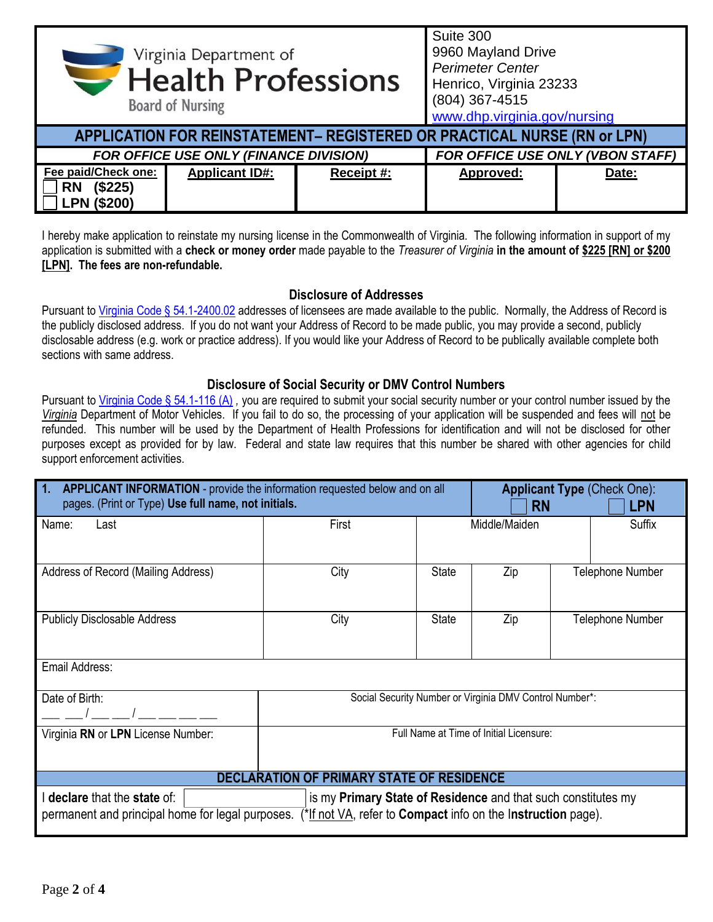| Virginia Department of<br><b>Health Professions</b><br><b>Board of Nursing</b> |                       | Suite 300<br>9960 Mayland Drive<br><b>Perimeter Center</b><br>Henrico, Virginia 23233<br>(804) 367-4515<br>www.dhp.virginia.gov/nursing |           |       |
|--------------------------------------------------------------------------------|-----------------------|-----------------------------------------------------------------------------------------------------------------------------------------|-----------|-------|
| APPLICATION FOR REINSTATEMENT- REGISTERED OR PRACTICAL NURSE (RN or LPN)       |                       |                                                                                                                                         |           |       |
| FOR OFFICE USE ONLY (FINANCE DIVISION)<br>FOR OFFICE USE ONLY (VBON STAFF)     |                       |                                                                                                                                         |           |       |
| Fee paid/Check one:<br>(\$225)<br><b>RN</b><br><b>LPN (\$200)</b>              | <b>Applicant ID#:</b> | Receipt #:                                                                                                                              | Approved: | Date: |

I hereby make application to reinstate my nursing license in the Commonwealth of Virginia. The following information in support of my application is submitted with a **check or money order** made payable to the *Treasurer of Virginia* **in the amount of \$225 [RN] or \$200 [LPN]. The fees are non-refundable.**

## **Disclosure of Addresses**

Pursuant t[o Virginia Code § 54.1-2400.02](https://law.lis.virginia.gov/vacode/title54.1/chapter24/section54.1-2400.02/) addresses of licensees are made available to the public. Normally, the Address of Record is the publicly disclosed address. If you do not want your Address of Record to be made public, you may provide a second, publicly disclosable address (e.g. work or practice address). If you would like your Address of Record to be publically available complete both sections with same address.

## **Disclosure of Social Security or DMV Control Numbers**

Pursuant to [Virginia Code § 54.1-116 \(A\)](https://law.lis.virginia.gov/vacode/title54.1/chapter1/section54.1-116/), you are required to submit your social security number or your control number issued by the *Virginia* Department of Motor Vehicles. If you fail to do so, the processing of your application will be suspended and fees will not be refunded. This number will be used by the Department of Health Professions for identification and will not be disclosed for other purposes except as provided for by law. Federal and state law requires that this number be shared with other agencies for child support enforcement activities.

| 1.<br>APPLICANT INFORMATION - provide the information requested below and on all<br>pages. (Print or Type) Use full name, not initials.                                                                                |                                                         |              | <b>Applicant Type (Check One):</b><br><b>RN</b><br><b>LPN</b> |                  |        |
|------------------------------------------------------------------------------------------------------------------------------------------------------------------------------------------------------------------------|---------------------------------------------------------|--------------|---------------------------------------------------------------|------------------|--------|
| Name:<br>Last                                                                                                                                                                                                          | First                                                   |              | Middle/Maiden                                                 |                  | Suffix |
| Address of Record (Mailing Address)                                                                                                                                                                                    | City                                                    | <b>State</b> | Zip                                                           | Telephone Number |        |
| <b>Publicly Disclosable Address</b>                                                                                                                                                                                    | City                                                    | <b>State</b> | Zip                                                           | Telephone Number |        |
| Email Address:                                                                                                                                                                                                         |                                                         |              |                                                               |                  |        |
| Date of Birth:                                                                                                                                                                                                         | Social Security Number or Virginia DMV Control Number*: |              |                                                               |                  |        |
| Virginia RN or LPN License Number:                                                                                                                                                                                     | Full Name at Time of Initial Licensure:                 |              |                                                               |                  |        |
| <b>DECLARATION OF PRIMARY STATE OF RESIDENCE</b>                                                                                                                                                                       |                                                         |              |                                                               |                  |        |
| is my Primary State of Residence and that such constitutes my<br>declare that the state of:<br>(*If not VA, refer to <b>Compact</b> info on the Instruction page).<br>permanent and principal home for legal purposes. |                                                         |              |                                                               |                  |        |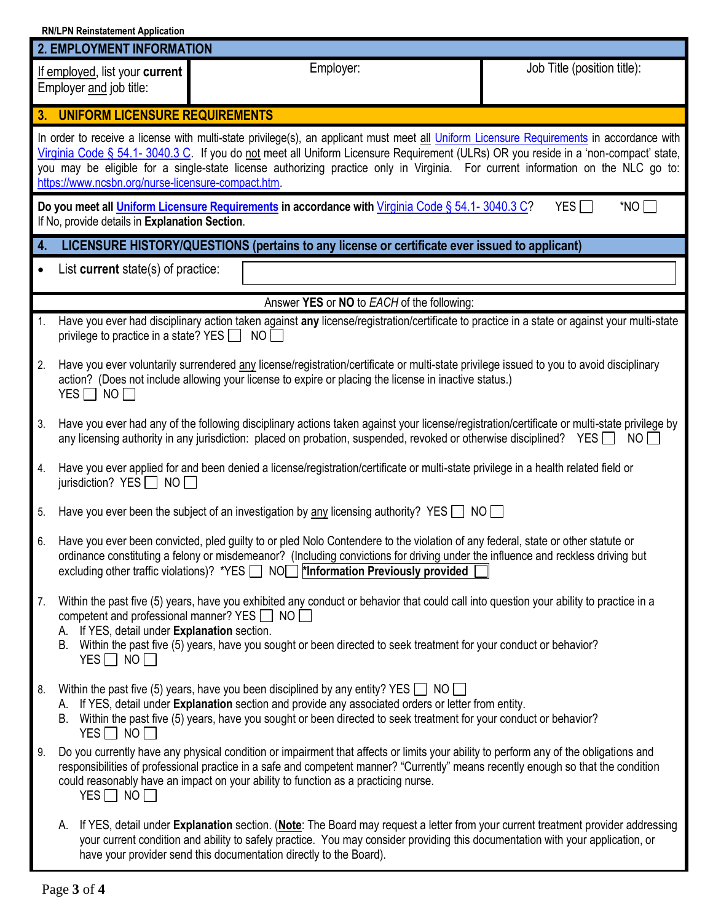|                    | <b>RN/LPN Reinstatement Application</b>                                                                           |                                                                                                                                                                                                                                                                                                                                                                                                                    |                             |  |  |
|--------------------|-------------------------------------------------------------------------------------------------------------------|--------------------------------------------------------------------------------------------------------------------------------------------------------------------------------------------------------------------------------------------------------------------------------------------------------------------------------------------------------------------------------------------------------------------|-----------------------------|--|--|
|                    | <b>2. EMPLOYMENT INFORMATION</b>                                                                                  |                                                                                                                                                                                                                                                                                                                                                                                                                    |                             |  |  |
|                    | If employed, list your current<br>Employer and job title:                                                         | Employer:                                                                                                                                                                                                                                                                                                                                                                                                          | Job Title (position title): |  |  |
|                    | 3. UNIFORM LICENSURE REQUIREMENTS                                                                                 |                                                                                                                                                                                                                                                                                                                                                                                                                    |                             |  |  |
|                    | https://www.ncsbn.org/nurse-licensure-compact.htm.                                                                | In order to receive a license with multi-state privilege(s), an applicant must meet all Uniform Licensure Requirements in accordance with<br>Virginia Code § 54.1-3040.3 C. If you do not meet all Uniform Licensure Requirement (ULRs) OR you reside in a 'non-compact' state,<br>you may be eligible for a single-state license authorizing practice only in Virginia. For current information on the NLC go to: |                             |  |  |
|                    | If No, provide details in Explanation Section.                                                                    | Do you meet all Uniform Licensure Requirements in accordance with Virginia Code § 54.1-3040.3 C?                                                                                                                                                                                                                                                                                                                   | $*$ NO $\Box$<br>YES $\Box$ |  |  |
| $\boldsymbol{4}$ . |                                                                                                                   | LICENSURE HISTORY/QUESTIONS (pertains to any license or certificate ever issued to applicant)                                                                                                                                                                                                                                                                                                                      |                             |  |  |
| $\bullet$          | List current state(s) of practice:                                                                                |                                                                                                                                                                                                                                                                                                                                                                                                                    |                             |  |  |
|                    |                                                                                                                   | Answer YES or NO to EACH of the following:                                                                                                                                                                                                                                                                                                                                                                         |                             |  |  |
| 1.                 | privilege to practice in a state? YES                                                                             | Have you ever had disciplinary action taken against any license/registration/certificate to practice in a state or against your multi-state<br>NO                                                                                                                                                                                                                                                                  |                             |  |  |
| 2.                 | YES $\Box$ NO $\Box$                                                                                              | Have you ever voluntarily surrendered any license/registration/certificate or multi-state privilege issued to you to avoid disciplinary<br>action? (Does not include allowing your license to expire or placing the license in inactive status.)                                                                                                                                                                   |                             |  |  |
| 3.                 |                                                                                                                   | Have you ever had any of the following disciplinary actions taken against your license/registration/certificate or multi-state privilege by<br>any licensing authority in any jurisdiction: placed on probation, suspended, revoked or otherwise disciplined? YES NO                                                                                                                                               |                             |  |  |
| 4.                 | jurisdiction? YES $\Box$ NO $\Box$                                                                                | Have you ever applied for and been denied a license/registration/certificate or multi-state privilege in a health related field or                                                                                                                                                                                                                                                                                 |                             |  |  |
| 5.                 |                                                                                                                   | Have you ever been the subject of an investigation by <u>any</u> licensing authority? YES $\Box$ NO $\Box$                                                                                                                                                                                                                                                                                                         |                             |  |  |
| 6.                 |                                                                                                                   | Have you ever been convicted, pled guilty to or pled Nolo Contendere to the violation of any federal, state or other statute or<br>ordinance constituting a felony or misdemeanor? (Including convictions for driving under the influence and reckless driving but<br>excluding other traffic violations)? *YES $\Box$ NO $\Box$ *Information Previously provided                                                  |                             |  |  |
| 7.                 | competent and professional manner? YES ■ NO<br>A. If YES, detail under Explanation section.<br>$YES \Box NO \Box$ | Within the past five (5) years, have you exhibited any conduct or behavior that could call into question your ability to practice in a<br>B. Within the past five (5) years, have you sought or been directed to seek treatment for your conduct or behavior?                                                                                                                                                      |                             |  |  |
| 8.                 | YES $\Box$ NO $\Box$                                                                                              | Within the past five (5) years, have you been disciplined by any entity? YES $\Box$ NO $\Box$<br>A. If YES, detail under Explanation section and provide any associated orders or letter from entity.<br>B. Within the past five (5) years, have you sought or been directed to seek treatment for your conduct or behavior?                                                                                       |                             |  |  |
| 9.                 | YES $\Box$ NO $\Box$                                                                                              | Do you currently have any physical condition or impairment that affects or limits your ability to perform any of the obligations and<br>responsibilities of professional practice in a safe and competent manner? "Currently" means recently enough so that the condition<br>could reasonably have an impact on your ability to function as a practicing nurse.                                                    |                             |  |  |
|                    | А.                                                                                                                | If YES, detail under Explanation section. (Note: The Board may request a letter from your current treatment provider addressing<br>your current condition and ability to safely practice. You may consider providing this documentation with your application, or<br>have your provider send this documentation directly to the Board).                                                                            |                             |  |  |